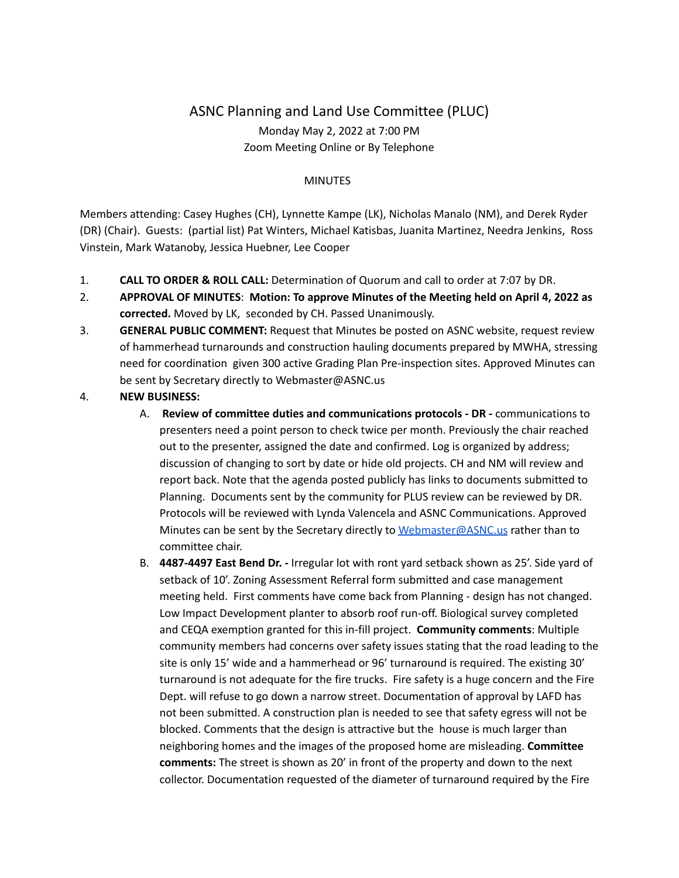## ASNC Planning and Land Use Committee (PLUC) Monday May 2, 2022 at 7:00 PM Zoom Meeting Online or By Telephone

## **MINUTES**

Members attending: Casey Hughes (CH), Lynnette Kampe (LK), Nicholas Manalo (NM), and Derek Ryder (DR) (Chair). Guests: (partial list) Pat Winters, Michael Katisbas, Juanita Martinez, Needra Jenkins, Ross Vinstein, Mark Watanoby, Jessica Huebner, Lee Cooper

- 1. **CALL TO ORDER & ROLL CALL:** Determination of Quorum and call to order at 7:07 by DR.
- 2. **APPROVAL OF MINUTES**: **Motion: To approve Minutes of the Meeting held on April 4, 2022 as corrected.** Moved by LK, seconded by CH. Passed Unanimously.
- 3. **GENERAL PUBLIC COMMENT:** Request that Minutes be posted on ASNC website, request review of hammerhead turnarounds and construction hauling documents prepared by MWHA, stressing need for coordination given 300 active Grading Plan Pre-inspection sites. Approved Minutes can be sent by Secretary directly to Webmaster@ASNC.us
- 4. **NEW BUSINESS:**
	- A. **Review of committee duties and communications protocols - DR -** communications to presenters need a point person to check twice per month. Previously the chair reached out to the presenter, assigned the date and confirmed. Log is organized by address; discussion of changing to sort by date or hide old projects. CH and NM will review and report back. Note that the agenda posted publicly has links to documents submitted to Planning. Documents sent by the community for PLUS review can be reviewed by DR. Protocols will be reviewed with Lynda Valencela and ASNC Communications. Approved Minutes can be sent by the Secretary directly to [Webmaster@ASNC.us](mailto:Webmaster@ASNC.us) rather than to committee chair.
	- B. **4487-4497 East Bend Dr. -** Irregular lot with ront yard setback shown as 25'. Side yard of setback of 10'. Zoning Assessment Referral form submitted and case management meeting held. First comments have come back from Planning - design has not changed. Low Impact Development planter to absorb roof run-off. Biological survey completed and CEQA exemption granted for this in-fill project. **Community comments**: Multiple community members had concerns over safety issues stating that the road leading to the site is only 15' wide and a hammerhead or 96' turnaround is required. The existing 30' turnaround is not adequate for the fire trucks. Fire safety is a huge concern and the Fire Dept. will refuse to go down a narrow street. Documentation of approval by LAFD has not been submitted. A construction plan is needed to see that safety egress will not be blocked. Comments that the design is attractive but the house is much larger than neighboring homes and the images of the proposed home are misleading. **Committee comments:** The street is shown as 20' in front of the property and down to the next collector. Documentation requested of the diameter of turnaround required by the Fire